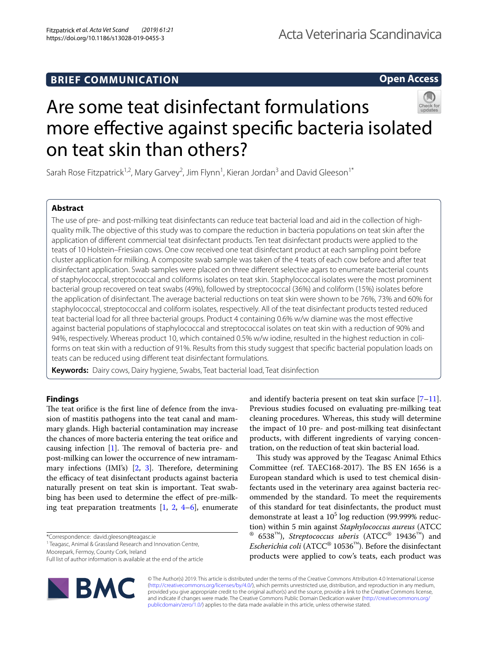# **BRIEF COMMUNICATION**

**Open Access**

# Are some teat disinfectant formulations more effective against specific bacteria isolated on teat skin than others?

Sarah Rose Fitzpatrick<sup>1,2</sup>, Mary Garvey<sup>2</sup>, Jim Flynn<sup>1</sup>, Kieran Jordan<sup>3</sup> and David Gleeson<sup>1\*</sup>

# **Abstract**

The use of pre- and post-milking teat disinfectants can reduce teat bacterial load and aid in the collection of highquality milk. The objective of this study was to compare the reduction in bacteria populations on teat skin after the application of diferent commercial teat disinfectant products. Ten teat disinfectant products were applied to the teats of 10 Holstein–Friesian cows. One cow received one teat disinfectant product at each sampling point before cluster application for milking. A composite swab sample was taken of the 4 teats of each cow before and after teat disinfectant application. Swab samples were placed on three diferent selective agars to enumerate bacterial counts of staphylococcal, streptococcal and coliforms isolates on teat skin. Staphylococcal isolates were the most prominent bacterial group recovered on teat swabs (49%), followed by streptococcal (36%) and coliform (15%) isolates before the application of disinfectant. The average bacterial reductions on teat skin were shown to be 76%, 73% and 60% for staphylococcal, streptococcal and coliform isolates, respectively. All of the teat disinfectant products tested reduced teat bacterial load for all three bacterial groups. Product 4 containing 0.6% w/w diamine was the most efective against bacterial populations of staphylococcal and streptococcal isolates on teat skin with a reduction of 90% and 94%, respectively. Whereas product 10, which contained 0.5% w/w iodine, resulted in the highest reduction in coliforms on teat skin with a reduction of 91%. Results from this study suggest that specifc bacterial population loads on teats can be reduced using diferent teat disinfectant formulations.

**Keywords:** Dairy cows, Dairy hygiene, Swabs, Teat bacterial load, Teat disinfection

# **Findings**

The teat orifice is the first line of defence from the invasion of mastitis pathogens into the teat canal and mammary glands. High bacterial contamination may increase the chances of more bacteria entering the teat orifce and causing infection  $[1]$ . The removal of bacteria pre- and post-milking can lower the occurrence of new intramammary infections (IMI's)  $[2, 3]$  $[2, 3]$  $[2, 3]$  $[2, 3]$  $[2, 3]$ . Therefore, determining the efficacy of teat disinfectant products against bacteria naturally present on teat skin is important. Teat swabbing has been used to determine the efect of pre-milking teat preparation treatments  $[1, 2, 4-6]$  $[1, 2, 4-6]$  $[1, 2, 4-6]$  $[1, 2, 4-6]$  $[1, 2, 4-6]$  $[1, 2, 4-6]$ , enumerate

\*Correspondence: david.gleeson@teagasc.ie

Moorepark, Fermoy, County Cork, Ireland

Full list of author information is available at the end of the article



and identify bacteria present on teat skin surface  $[7-11]$  $[7-11]$ . Previous studies focused on evaluating pre-milking teat cleaning procedures. Whereas, this study will determine the impact of 10 pre- and post-milking teat disinfectant products, with diferent ingredients of varying concentration, on the reduction of teat skin bacterial load.

This study was approved by the Teagasc Animal Ethics Committee (ref. TAEC168-2017). The BS EN 1656 is a European standard which is used to test chemical disinfectants used in the veterinary area against bacteria recommended by the standard. To meet the requirements of this standard for teat disinfectants, the product must demonstrate at least a  $10^5$  log reduction (99.999% reduction) within 5 min against *Staphylococcus aureus* (ATCC ® 6538™), *Streptococcus uberis* (ATCC® 19436™) and *Escherichia coli* (ATCC® 10536™). Before the disinfectant products were applied to cow's teats, each product was

© The Author(s) 2019. This article is distributed under the terms of the Creative Commons Attribution 4.0 International License [\(http://creativecommons.org/licenses/by/4.0/\)](http://creativecommons.org/licenses/by/4.0/), which permits unrestricted use, distribution, and reproduction in any medium, provided you give appropriate credit to the original author(s) and the source, provide a link to the Creative Commons license, and indicate if changes were made. The Creative Commons Public Domain Dedication waiver ([http://creativecommons.org/](http://creativecommons.org/publicdomain/zero/1.0/) [publicdomain/zero/1.0/](http://creativecommons.org/publicdomain/zero/1.0/)) applies to the data made available in this article, unless otherwise stated.

<sup>&</sup>lt;sup>1</sup> Teagasc, Animal & Grassland Research and Innovation Centre,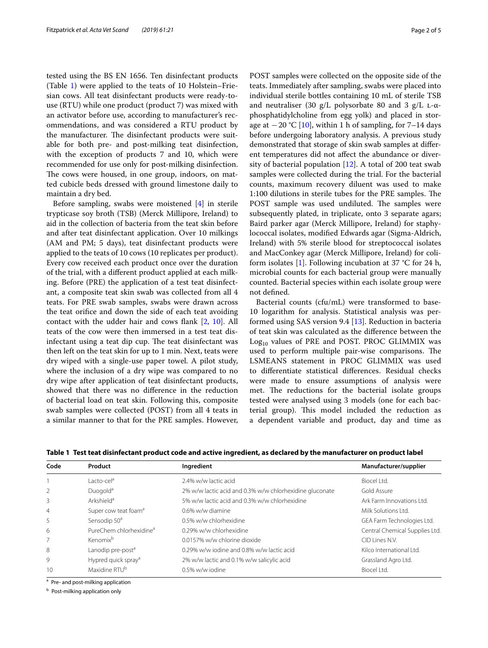tested using the BS EN 1656. Ten disinfectant products (Table [1\)](#page-1-0) were applied to the teats of 10 Holstein–Friesian cows. All teat disinfectant products were ready-touse (RTU) while one product (product 7) was mixed with an activator before use, according to manufacturer's recommendations, and was considered a RTU product by the manufacturer. The disinfectant products were suitable for both pre- and post-milking teat disinfection, with the exception of products 7 and 10, which were recommended for use only for post-milking disinfection. The cows were housed, in one group, indoors, on matted cubicle beds dressed with ground limestone daily to maintain a dry bed.

Before sampling, swabs were moistened [\[4](#page-4-3)] in sterile trypticase soy broth (TSB) (Merck Millipore, Ireland) to aid in the collection of bacteria from the teat skin before and after teat disinfectant application. Over 10 milkings (AM and PM; 5 days), teat disinfectant products were applied to the teats of 10 cows (10 replicates per product). Every cow received each product once over the duration of the trial, with a diferent product applied at each milking. Before (PRE) the application of a test teat disinfectant, a composite teat skin swab was collected from all 4 teats. For PRE swab samples, swabs were drawn across the teat orifce and down the side of each teat avoiding contact with the udder hair and cows fank [\[2](#page-4-1), [10](#page-4-7)]. All teats of the cow were then immersed in a test teat disinfectant using a teat dip cup. The teat disinfectant was then left on the teat skin for up to 1 min. Next, teats were dry wiped with a single-use paper towel. A pilot study, where the inclusion of a dry wipe was compared to no dry wipe after application of teat disinfectant products, showed that there was no diference in the reduction of bacterial load on teat skin. Following this, composite swab samples were collected (POST) from all 4 teats in a similar manner to that for the PRE samples. However, POST samples were collected on the opposite side of the teats. Immediately after sampling, swabs were placed into individual sterile bottles containing 10 mL of sterile TSB and neutraliser (30  $g/L$  polysorbate 80 and 3  $g/L$  L- $\alpha$ phosphatidylcholine from egg yolk) and placed in storage at  $-20$  °C [[10\]](#page-4-7), within 1 h of sampling, for 7–14 days before undergoing laboratory analysis. A previous study demonstrated that storage of skin swab samples at diferent temperatures did not afect the abundance or diversity of bacterial population [[12\]](#page-4-8). A total of 200 teat swab samples were collected during the trial. For the bacterial counts, maximum recovery diluent was used to make 1:100 dilutions in sterile tubes for the PRE samples. The POST sample was used undiluted. The samples were subsequently plated, in triplicate, onto 3 separate agars; Baird parker agar (Merck Millipore, Ireland) for staphylococcal isolates, modifed Edwards agar (Sigma-Aldrich, Ireland) with 5% sterile blood for streptococcal isolates and MacConkey agar (Merck Millipore, Ireland) for coli-form isolates [\[1](#page-4-0)]. Following incubation at 37  $\degree$ C for 24 h, microbial counts for each bacterial group were manually counted. Bacterial species within each isolate group were not defned.

Bacterial counts (cfu/mL) were transformed to base-10 logarithm for analysis. Statistical analysis was performed using SAS version 9.4 [\[13](#page-4-9)]. Reduction in bacteria of teat skin was calculated as the diference between the  $Log<sub>10</sub>$  values of PRE and POST. PROC GLIMMIX was used to perform multiple pair-wise comparisons. The LSMEANS statement in PROC GLIMMIX was used to diferentiate statistical diferences. Residual checks were made to ensure assumptions of analysis were met. The reductions for the bacterial isolate groups tested were analysed using 3 models (one for each bacterial group). This model included the reduction as a dependent variable and product, day and time as

| Code           | Product                             | Ingredient                                              | Manufacturer/supplier          |
|----------------|-------------------------------------|---------------------------------------------------------|--------------------------------|
|                | Lacto-cel <sup>a</sup>              | 2.4% w/w lactic acid                                    | Biocel Ltd.                    |
| 2              | Duogold <sup>a</sup>                | 2% w/w lactic acid and 0.3% w/w chlorhexidine gluconate | Gold Assure                    |
| 3              | Arkshield <sup>a</sup>              | 5% w/w lactic acid and 0.3% w/w chlorhexidine           | Ark Farm Innovations Ltd.      |
| $\overline{4}$ | Super cow teat foam <sup>a</sup>    | 0.6% w/w diamine                                        | Milk Solutions Ltd.            |
| 5              | Sensodip 50 <sup>a</sup>            | 0.5% w/w chlorhexidine                                  | GEA Farm Technologies Ltd.     |
| 6              | PureChem chlorhexidine <sup>a</sup> | 0.29% w/w chlorhexidine                                 | Central Chemical Supplies Ltd. |
| 7              | Kenomix <sup>b</sup>                | 0.0157% w/w chlorine dioxide                            | CID Lines N.V.                 |
| 8              | Lanodip pre-post <sup>a</sup>       | 0.29% w/w jodine and 0.8% w/w lactic acid               | Kilco International I td.      |
| 9              | Hypred quick spray <sup>a</sup>     | 2% w/w lactic and 0.1% w/w salicylic acid               | Grassland Agro Ltd.            |
| 10             | Maxidine RTU <sup>b</sup>           | 0.5% w/w jodine                                         | Biocel I td.                   |

<span id="page-1-0"></span>**Table 1 Test teat disinfectant product code and active ingredient, as declared by the manufacturer on product label**

<sup>a</sup> Pre- and post-milking application

**b** Post-milking application only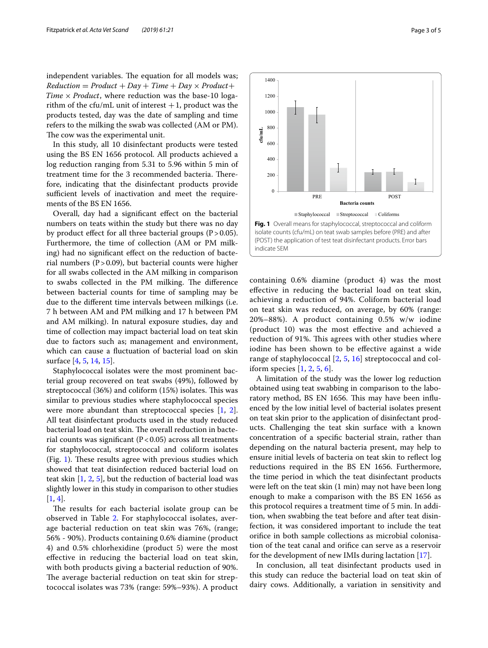independent variables. The equation for all models was;  $Reduction = Product + Day + Time + Day \times Product +$ Time  $\times$  Product, where reduction was the base-10 logarithm of the cfu/mL unit of interest  $+1$ , product was the products tested, day was the date of sampling and time refers to the milking the swab was collected (AM or PM). The cow was the experimental unit.

In this study, all 10 disinfectant products were tested using the BS EN 1656 protocol. All products achieved a log reduction ranging from 5.31 to 5.96 within 5 min of treatment time for the 3 recommended bacteria. Therefore, indicating that the disinfectant products provide sufficient levels of inactivation and meet the requirements of the BS EN 1656.

Overall, day had a signifcant efect on the bacterial numbers on teats within the study but there was no day by product effect for all three bacterial groups  $(P > 0.05)$ . Furthermore, the time of collection (AM or PM milking) had no significant effect on the reduction of bacterial numbers ( $P > 0.09$ ), but bacterial counts were higher for all swabs collected in the AM milking in comparison to swabs collected in the PM milking. The difference between bacterial counts for time of sampling may be due to the diferent time intervals between milkings (i.e. 7 h between AM and PM milking and 17 h between PM and AM milking). In natural exposure studies, day and time of collection may impact bacterial load on teat skin due to factors such as; management and environment, which can cause a fuctuation of bacterial load on skin surface [\[4](#page-4-3), [5,](#page-4-10) [14](#page-4-11), [15\]](#page-4-12).

Staphylococcal isolates were the most prominent bacterial group recovered on teat swabs (49%), followed by streptococcal  $(36%)$  and coliform  $(15%)$  isolates. This was similar to previous studies where staphylococcal species were more abundant than streptococcal species [[1,](#page-4-0) [2](#page-4-1)]. All teat disinfectant products used in the study reduced bacterial load on teat skin. The overall reduction in bacterial counts was significant  $(P<0.05)$  across all treatments for staphylococcal, streptococcal and coliform isolates (Fig. [1\)](#page-2-0). These results agree with previous studies which showed that teat disinfection reduced bacterial load on teat skin  $[1, 2, 5]$  $[1, 2, 5]$  $[1, 2, 5]$  $[1, 2, 5]$  $[1, 2, 5]$  $[1, 2, 5]$  $[1, 2, 5]$ , but the reduction of bacterial load was slightly lower in this study in comparison to other studies  $[1, 4]$  $[1, 4]$  $[1, 4]$  $[1, 4]$ .

The results for each bacterial isolate group can be observed in Table [2](#page-3-0). For staphylococcal isolates, average bacterial reduction on teat skin was 76%, (range; 56% - 90%). Products containing 0.6% diamine (product 4) and 0.5% chlorhexidine (product 5) were the most efective in reducing the bacterial load on teat skin, with both products giving a bacterial reduction of 90%. The average bacterial reduction on teat skin for streptococcal isolates was 73% (range: 59%–93%). A product

<span id="page-2-0"></span>

A limitation of the study was the lower log reduction obtained using teat swabbing in comparison to the laboratory method, BS EN 1656. This may have been influenced by the low initial level of bacterial isolates present on teat skin prior to the application of disinfectant products. Challenging the teat skin surface with a known concentration of a specifc bacterial strain, rather than depending on the natural bacteria present, may help to ensure initial levels of bacteria on teat skin to refect log reductions required in the BS EN 1656. Furthermore, the time period in which the teat disinfectant products were left on the teat skin (1 min) may not have been long enough to make a comparison with the BS EN 1656 as this protocol requires a treatment time of 5 min. In addition, when swabbing the teat before and after teat disinfection, it was considered important to include the teat orifce in both sample collections as microbial colonisation of the teat canal and orifce can serve as a reservoir for the development of new IMIs during lactation [[17\]](#page-4-14).

In conclusion, all teat disinfectant products used in this study can reduce the bacterial load on teat skin of dairy cows. Additionally, a variation in sensitivity and

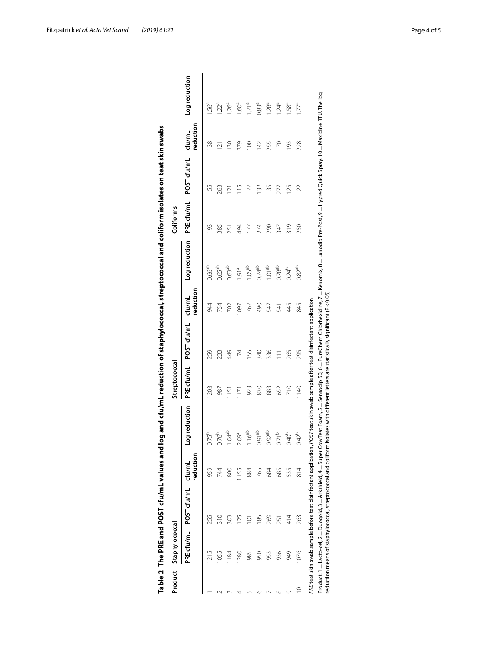| Product     | Staphylococcal  |                                                                   |                     |                                                                                                                                        | Streptococcal    |                 |                     |                                                                                                                                               | Coliforms  |               |                     |                   |
|-------------|-----------------|-------------------------------------------------------------------|---------------------|----------------------------------------------------------------------------------------------------------------------------------------|------------------|-----------------|---------------------|-----------------------------------------------------------------------------------------------------------------------------------------------|------------|---------------|---------------------|-------------------|
|             |                 | PRE cfu/mL POST cfu/mL                                            | reduction<br>cfu/mL | Log reduction                                                                                                                          | PRE cfu/mL       | POST cfu/mL     | reduction<br>cfu/ml | Log reduction                                                                                                                                 | PRE cfu/mL | POST cfu/mL   | reduction<br>cfu/mL | Logreduction      |
|             |                 | 255                                                               | 959                 | $0.75^{b}$                                                                                                                             | 203              | 259             | 944                 | 0.66 <sup>ab</sup>                                                                                                                            | $\Im$      | SS            | <b>38</b>           | 56ª               |
|             | 1055            | $\frac{310}{5}$                                                   | 744                 | $0.76^{b}$                                                                                                                             | 987              | 233             | 754                 | 0.65 <sup>ab</sup>                                                                                                                            | 385        | 263           | $\overline{121}$    | $1.22^a$          |
|             | $\frac{184}{ }$ | 303                                                               | 800                 | 1.04 <sup>ab</sup>                                                                                                                     | $\overline{151}$ | 449             | 702                 | 0.63 <sup>ab</sup>                                                                                                                            | 251        | 121           | 130                 | $-26a$            |
|             | 1280            | 125                                                               | 1155                | 2.09 <sup>a</sup>                                                                                                                      | 171              | 74              | 097                 | $-91^{\circ}$                                                                                                                                 | 494        | $\frac{5}{1}$ | 379                 | 60ª               |
|             | 985             | Ξ                                                                 | 884                 | 6 <sup>ab</sup>                                                                                                                        | 923              | 155             | 767                 | 1.05 <sup>ab</sup>                                                                                                                            | 177        |               | $\overline{100}$    | 1.71 <sup>a</sup> |
|             | 950             | 185                                                               | 765                 | 0.91 <sup>ab</sup>                                                                                                                     | 830              | 340             | 490                 | 0.74 <sup>ab</sup>                                                                                                                            | 274        | 132           | 142                 | 0.83 <sup>a</sup> |
|             | 953             | 269                                                               | 684                 | 0.92 <sup>ab</sup>                                                                                                                     | 883              | 336             | 547                 | 1.01 <sup>ab</sup>                                                                                                                            | 290        | 35            | 255                 | $1.28^{\circ}$    |
|             | 936             | 251                                                               | 685                 | $0.71^{b}$                                                                                                                             | 652              | $\overline{11}$ | 541                 | $0.78^{ab}$                                                                                                                                   | 347        | 277           | R                   | $1.24^{\circ}$    |
| σ           | 949             | 414                                                               | 535                 | $0.40^{\circ}$                                                                                                                         | 210              | 265             | 445                 | $0.24^{b}$                                                                                                                                    | 319        | 125           | 193                 | 58 <sup>a</sup> . |
| $\supseteq$ | 1076            | 263                                                               | $\frac{814}{6}$     | $0.42^{b}$                                                                                                                             | $\frac{40}{5}$   | 295             | 845                 | 0.82 <sup>ab</sup>                                                                                                                            | 250        | 22            | 228                 | 1.77ª             |
|             |                 |                                                                   |                     | PRE teat skin swab sample before teat disinfectant application, POST teat skin swab sample after teat disinfectant application         |                  |                 |                     |                                                                                                                                               |            |               |                     |                   |
|             |                 | Product: 1 = Lacto-cel, 2 = Duogold, 3 = Arkshield, 4 = Super Cow |                     | reduction means of staphylococcal, streptococcal and coliform isolates with different letters are statistically significant (P < 0.05) |                  |                 |                     | Teat Foam, 5 = Sensodip 50, 6 = PureChem Chlorhexidine, 7 = Kenomix, 8 = Lanodip Pre-Post, 9 = Hypred Quick Spray, 10 = Maxidine RTU. The log |            |               |                     |                   |

<span id="page-3-0"></span>

| )<br>)<br>č        |
|--------------------|
|                    |
|                    |
|                    |
|                    |
|                    |
|                    |
|                    |
|                    |
|                    |
|                    |
|                    |
| The PRE and r<br>ī |
|                    |
|                    |
| e<br>Ne 2          |

Fitzpatrick *et al. Acta Vet Scand (2019) 61:21* Page 4 of 5